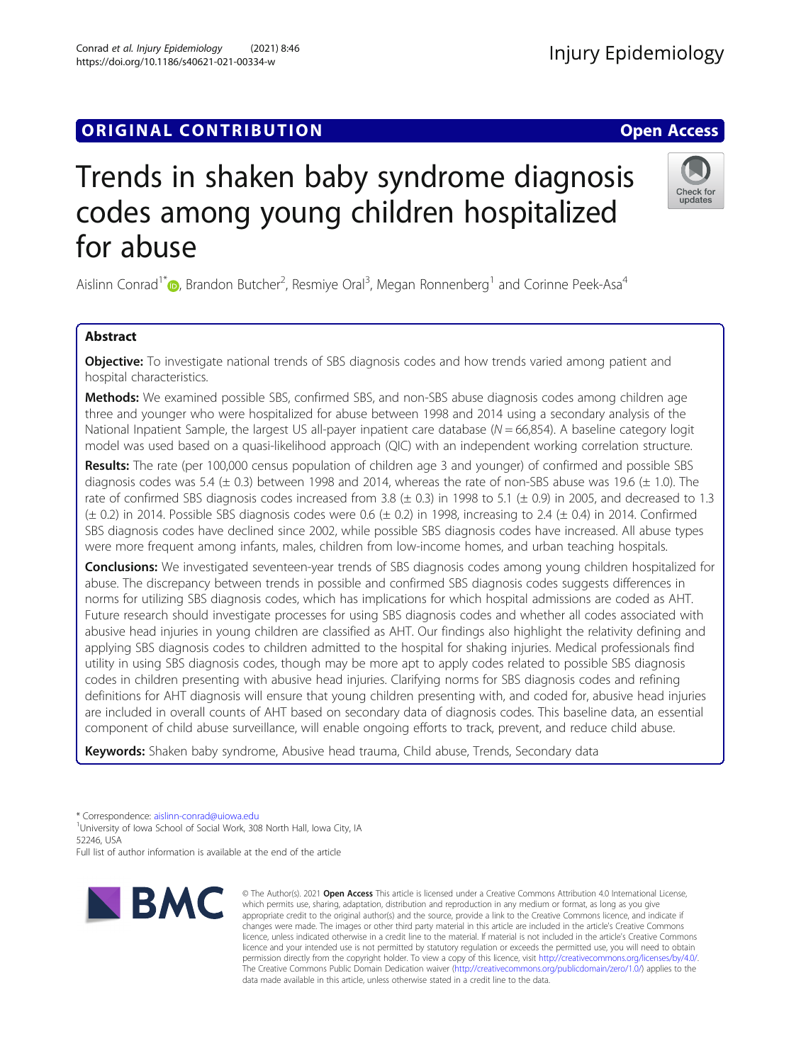## **ORIGINAL CONTRIBUTION CONTRIBUTION**

# Trends in shaken baby syndrome diagnosis codes among young children hospitalized for abuse

Aislinn Conrad<sup>1[\\*](http://orcid.org/0000-0002-9446-9410)</sup> <sub>(b</sub>, Brandon Butcher<sup>2</sup>, Resmiye Oral<sup>3</sup>, Megan Ronnenberg<sup>1</sup> and Corinne Peek-Asa<sup>4</sup>

### Abstract

**Objective:** To investigate national trends of SBS diagnosis codes and how trends varied among patient and hospital characteristics.

**Methods:** We examined possible SBS, confirmed SBS, and non-SBS abuse diagnosis codes among children age three and younger who were hospitalized for abuse between 1998 and 2014 using a secondary analysis of the National Inpatient Sample, the largest US all-payer inpatient care database  $(N = 66,854)$ . A baseline category logit model was used based on a quasi-likelihood approach (QIC) with an independent working correlation structure.

Results: The rate (per 100,000 census population of children age 3 and younger) of confirmed and possible SBS diagnosis codes was 5.4 ( $\pm$  0.3) between 1998 and 2014, whereas the rate of non-SBS abuse was 19.6 ( $\pm$  1.0). The rate of confirmed SBS diagnosis codes increased from 3.8 ( $\pm$  0.3) in 1998 to 5.1 ( $\pm$  0.9) in 2005, and decreased to 1.3  $(± 0.2)$  in 2014. Possible SBS diagnosis codes were 0.6  $(± 0.2)$  in 1998, increasing to 2.4  $(± 0.4)$  in 2014. Confirmed SBS diagnosis codes have declined since 2002, while possible SBS diagnosis codes have increased. All abuse types were more frequent among infants, males, children from low-income homes, and urban teaching hospitals.

**Conclusions:** We investigated seventeen-year trends of SBS diagnosis codes among young children hospitalized for abuse. The discrepancy between trends in possible and confirmed SBS diagnosis codes suggests differences in norms for utilizing SBS diagnosis codes, which has implications for which hospital admissions are coded as AHT. Future research should investigate processes for using SBS diagnosis codes and whether all codes associated with abusive head injuries in young children are classified as AHT. Our findings also highlight the relativity defining and applying SBS diagnosis codes to children admitted to the hospital for shaking injuries. Medical professionals find utility in using SBS diagnosis codes, though may be more apt to apply codes related to possible SBS diagnosis codes in children presenting with abusive head injuries. Clarifying norms for SBS diagnosis codes and refining definitions for AHT diagnosis will ensure that young children presenting with, and coded for, abusive head injuries are included in overall counts of AHT based on secondary data of diagnosis codes. This baseline data, an essential component of child abuse surveillance, will enable ongoing efforts to track, prevent, and reduce child abuse.

Keywords: Shaken baby syndrome, Abusive head trauma, Child abuse, Trends, Secondary data

\* Correspondence: [aislinn-conrad@uiowa.edu](mailto:aislinn-conrad@uiowa.edu) <sup>1</sup>

**BMC** 

<sup>1</sup>University of Iowa School of Social Work, 308 North Hall, Iowa City, IA 52246, USA

Full list of author information is available at the end of the article





**Injury Epidemiology**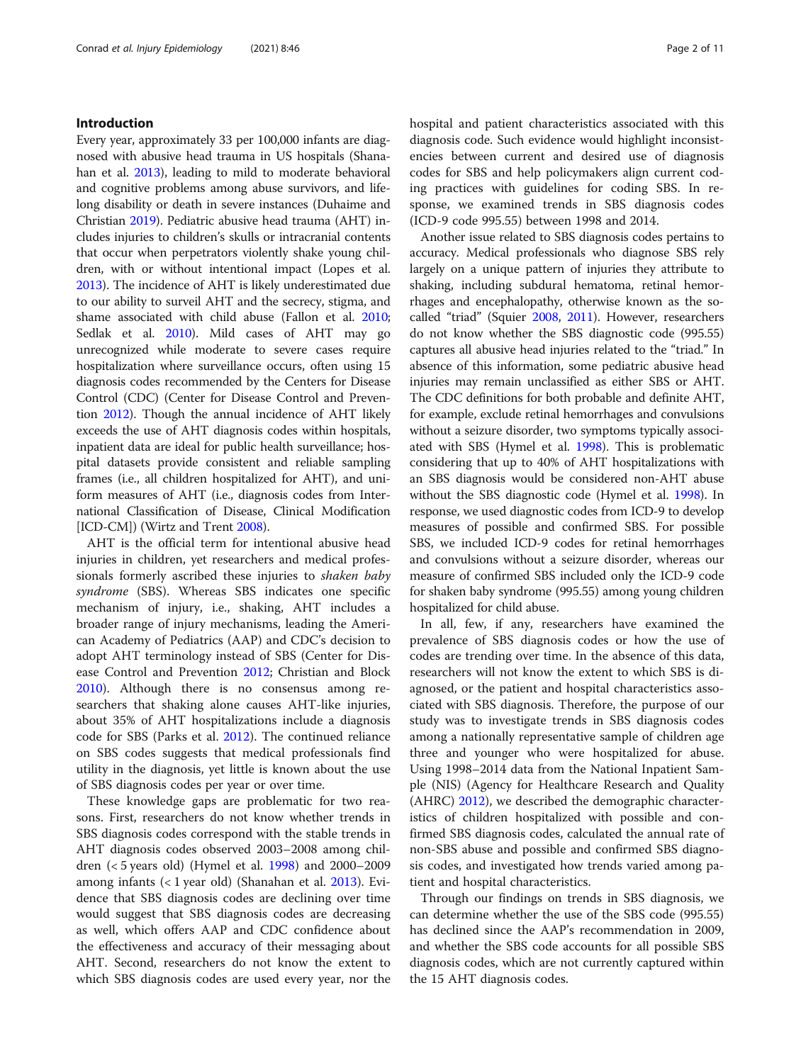#### Introduction

Every year, approximately 33 per 100,000 infants are diagnosed with abusive head trauma in US hospitals (Shanahan et al. [2013](#page-10-0)), leading to mild to moderate behavioral and cognitive problems among abuse survivors, and lifelong disability or death in severe instances (Duhaime and Christian [2019\)](#page-10-0). Pediatric abusive head trauma (AHT) includes injuries to children's skulls or intracranial contents that occur when perpetrators violently shake young children, with or without intentional impact (Lopes et al. [2013\)](#page-10-0). The incidence of AHT is likely underestimated due to our ability to surveil AHT and the secrecy, stigma, and shame associated with child abuse (Fallon et al. [2010](#page-10-0); Sedlak et al. [2010](#page-10-0)). Mild cases of AHT may go unrecognized while moderate to severe cases require hospitalization where surveillance occurs, often using 15 diagnosis codes recommended by the Centers for Disease Control (CDC) (Center for Disease Control and Prevention [2012](#page-10-0)). Though the annual incidence of AHT likely exceeds the use of AHT diagnosis codes within hospitals, inpatient data are ideal for public health surveillance; hospital datasets provide consistent and reliable sampling frames (i.e., all children hospitalized for AHT), and uniform measures of AHT (i.e., diagnosis codes from International Classification of Disease, Clinical Modification [ICD-CM]) (Wirtz and Trent [2008](#page-10-0)).

AHT is the official term for intentional abusive head injuries in children, yet researchers and medical professionals formerly ascribed these injuries to shaken baby syndrome (SBS). Whereas SBS indicates one specific mechanism of injury, i.e., shaking, AHT includes a broader range of injury mechanisms, leading the American Academy of Pediatrics (AAP) and CDC's decision to adopt AHT terminology instead of SBS (Center for Disease Control and Prevention [2012;](#page-10-0) Christian and Block [2010](#page-10-0)). Although there is no consensus among researchers that shaking alone causes AHT-like injuries, about 35% of AHT hospitalizations include a diagnosis code for SBS (Parks et al. [2012\)](#page-10-0). The continued reliance on SBS codes suggests that medical professionals find utility in the diagnosis, yet little is known about the use of SBS diagnosis codes per year or over time.

These knowledge gaps are problematic for two reasons. First, researchers do not know whether trends in SBS diagnosis codes correspond with the stable trends in AHT diagnosis codes observed 2003–2008 among children (< 5 years old) (Hymel et al. [1998](#page-10-0)) and 2000–2009 among infants (< 1 year old) (Shanahan et al. [2013\)](#page-10-0). Evidence that SBS diagnosis codes are declining over time would suggest that SBS diagnosis codes are decreasing as well, which offers AAP and CDC confidence about the effectiveness and accuracy of their messaging about AHT. Second, researchers do not know the extent to which SBS diagnosis codes are used every year, nor the hospital and patient characteristics associated with this diagnosis code. Such evidence would highlight inconsistencies between current and desired use of diagnosis codes for SBS and help policymakers align current coding practices with guidelines for coding SBS. In response, we examined trends in SBS diagnosis codes (ICD-9 code 995.55) between 1998 and 2014.

Another issue related to SBS diagnosis codes pertains to accuracy. Medical professionals who diagnose SBS rely largely on a unique pattern of injuries they attribute to shaking, including subdural hematoma, retinal hemorrhages and encephalopathy, otherwise known as the socalled "triad" (Squier [2008](#page-10-0), [2011](#page-10-0)). However, researchers do not know whether the SBS diagnostic code (995.55) captures all abusive head injuries related to the "triad." In absence of this information, some pediatric abusive head injuries may remain unclassified as either SBS or AHT. The CDC definitions for both probable and definite AHT, for example, exclude retinal hemorrhages and convulsions without a seizure disorder, two symptoms typically associated with SBS (Hymel et al. [1998\)](#page-10-0). This is problematic considering that up to 40% of AHT hospitalizations with an SBS diagnosis would be considered non-AHT abuse without the SBS diagnostic code (Hymel et al. [1998\)](#page-10-0). In response, we used diagnostic codes from ICD-9 to develop measures of possible and confirmed SBS. For possible SBS, we included ICD-9 codes for retinal hemorrhages and convulsions without a seizure disorder, whereas our measure of confirmed SBS included only the ICD-9 code for shaken baby syndrome (995.55) among young children hospitalized for child abuse.

In all, few, if any, researchers have examined the prevalence of SBS diagnosis codes or how the use of codes are trending over time. In the absence of this data, researchers will not know the extent to which SBS is diagnosed, or the patient and hospital characteristics associated with SBS diagnosis. Therefore, the purpose of our study was to investigate trends in SBS diagnosis codes among a nationally representative sample of children age three and younger who were hospitalized for abuse. Using 1998–2014 data from the National Inpatient Sample (NIS) (Agency for Healthcare Research and Quality (AHRC) [2012\)](#page-10-0), we described the demographic characteristics of children hospitalized with possible and confirmed SBS diagnosis codes, calculated the annual rate of non-SBS abuse and possible and confirmed SBS diagnosis codes, and investigated how trends varied among patient and hospital characteristics.

Through our findings on trends in SBS diagnosis, we can determine whether the use of the SBS code (995.55) has declined since the AAP's recommendation in 2009, and whether the SBS code accounts for all possible SBS diagnosis codes, which are not currently captured within the 15 AHT diagnosis codes.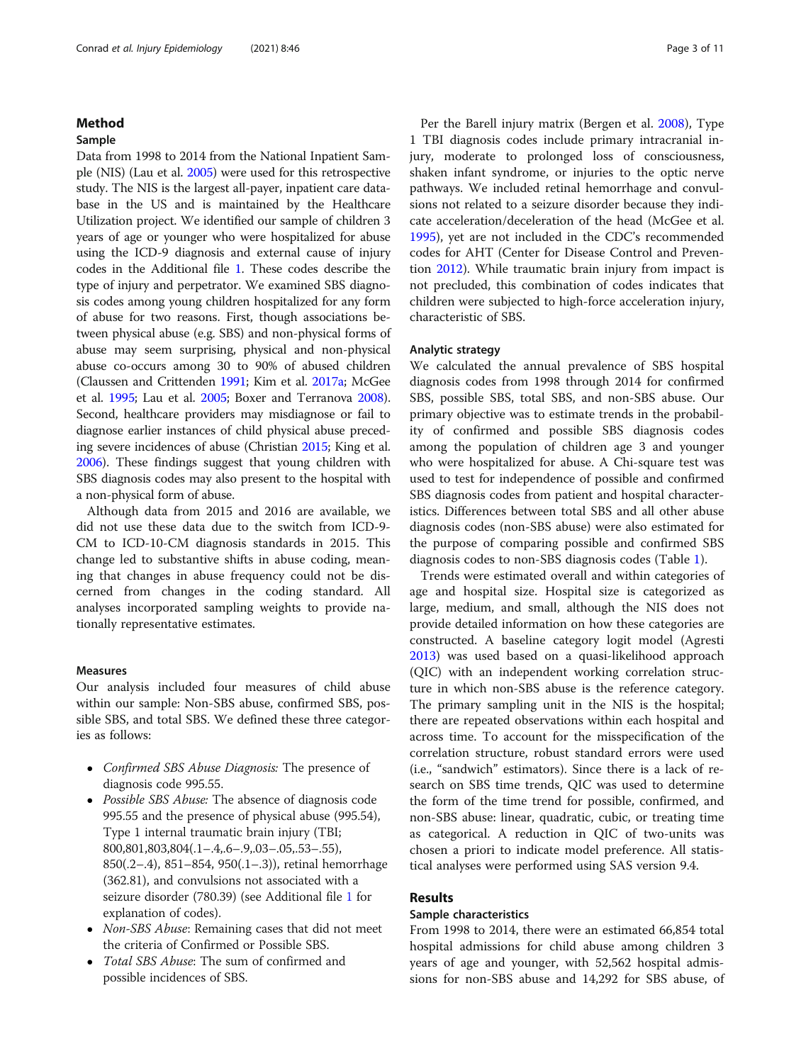#### Method

#### Sample

Data from 1998 to 2014 from the National Inpatient Sample (NIS) (Lau et al. [2005](#page-10-0)) were used for this retrospective study. The NIS is the largest all-payer, inpatient care database in the US and is maintained by the Healthcare Utilization project. We identified our sample of children 3 years of age or younger who were hospitalized for abuse using the ICD-9 diagnosis and external cause of injury codes in the Additional file [1.](#page-9-0) These codes describe the type of injury and perpetrator. We examined SBS diagnosis codes among young children hospitalized for any form of abuse for two reasons. First, though associations between physical abuse (e.g. SBS) and non-physical forms of abuse may seem surprising, physical and non-physical abuse co-occurs among 30 to 90% of abused children (Claussen and Crittenden [1991](#page-10-0); Kim et al. [2017a;](#page-10-0) McGee et al. [1995](#page-10-0); Lau et al. [2005;](#page-10-0) Boxer and Terranova [2008](#page-10-0)). Second, healthcare providers may misdiagnose or fail to diagnose earlier instances of child physical abuse preceding severe incidences of abuse (Christian [2015;](#page-10-0) King et al. [2006\)](#page-10-0). These findings suggest that young children with SBS diagnosis codes may also present to the hospital with a non-physical form of abuse.

Although data from 2015 and 2016 are available, we did not use these data due to the switch from ICD-9- CM to ICD-10-CM diagnosis standards in 2015. This change led to substantive shifts in abuse coding, meaning that changes in abuse frequency could not be discerned from changes in the coding standard. All analyses incorporated sampling weights to provide nationally representative estimates.

#### Measures

Our analysis included four measures of child abuse within our sample: Non-SBS abuse, confirmed SBS, possible SBS, and total SBS. We defined these three categories as follows:

- Confirmed SBS Abuse Diagnosis: The presence of diagnosis code 995.55.
- *Possible SBS Abuse:* The absence of diagnosis code 995.55 and the presence of physical abuse (995.54), Type 1 internal traumatic brain injury (TBI; 800,801,803,804(.1–.4,.6–.9,.03–.05,.53–.55), 850(.2–.4), 851–854, 950(.1–.3)), retinal hemorrhage (362.81), and convulsions not associated with a seizure disorder (780.39) (see Additional file [1](#page-9-0) for explanation of codes).
- *Non-SBS Abuse*: Remaining cases that did not meet the criteria of Confirmed or Possible SBS.
- Total SBS Abuse: The sum of confirmed and possible incidences of SBS.

Per the Barell injury matrix (Bergen et al. [2008](#page-10-0)), Type 1 TBI diagnosis codes include primary intracranial injury, moderate to prolonged loss of consciousness, shaken infant syndrome, or injuries to the optic nerve pathways. We included retinal hemorrhage and convulsions not related to a seizure disorder because they indicate acceleration/deceleration of the head (McGee et al. [1995](#page-10-0)), yet are not included in the CDC's recommended codes for AHT (Center for Disease Control and Prevention [2012](#page-10-0)). While traumatic brain injury from impact is not precluded, this combination of codes indicates that children were subjected to high-force acceleration injury, characteristic of SBS.

#### Analytic strategy

We calculated the annual prevalence of SBS hospital diagnosis codes from 1998 through 2014 for confirmed SBS, possible SBS, total SBS, and non-SBS abuse. Our primary objective was to estimate trends in the probability of confirmed and possible SBS diagnosis codes among the population of children age 3 and younger who were hospitalized for abuse. A Chi-square test was used to test for independence of possible and confirmed SBS diagnosis codes from patient and hospital characteristics. Differences between total SBS and all other abuse diagnosis codes (non-SBS abuse) were also estimated for the purpose of comparing possible and confirmed SBS diagnosis codes to non-SBS diagnosis codes (Table [1\)](#page-3-0).

Trends were estimated overall and within categories of age and hospital size. Hospital size is categorized as large, medium, and small, although the NIS does not provide detailed information on how these categories are constructed. A baseline category logit model (Agresti [2013](#page-10-0)) was used based on a quasi-likelihood approach (QIC) with an independent working correlation structure in which non-SBS abuse is the reference category. The primary sampling unit in the NIS is the hospital; there are repeated observations within each hospital and across time. To account for the misspecification of the correlation structure, robust standard errors were used (i.e., "sandwich" estimators). Since there is a lack of research on SBS time trends, QIC was used to determine the form of the time trend for possible, confirmed, and non-SBS abuse: linear, quadratic, cubic, or treating time as categorical. A reduction in QIC of two-units was chosen a priori to indicate model preference. All statistical analyses were performed using SAS version 9.4.

#### Results

#### Sample characteristics

From 1998 to 2014, there were an estimated 66,854 total hospital admissions for child abuse among children 3 years of age and younger, with 52,562 hospital admissions for non-SBS abuse and 14,292 for SBS abuse, of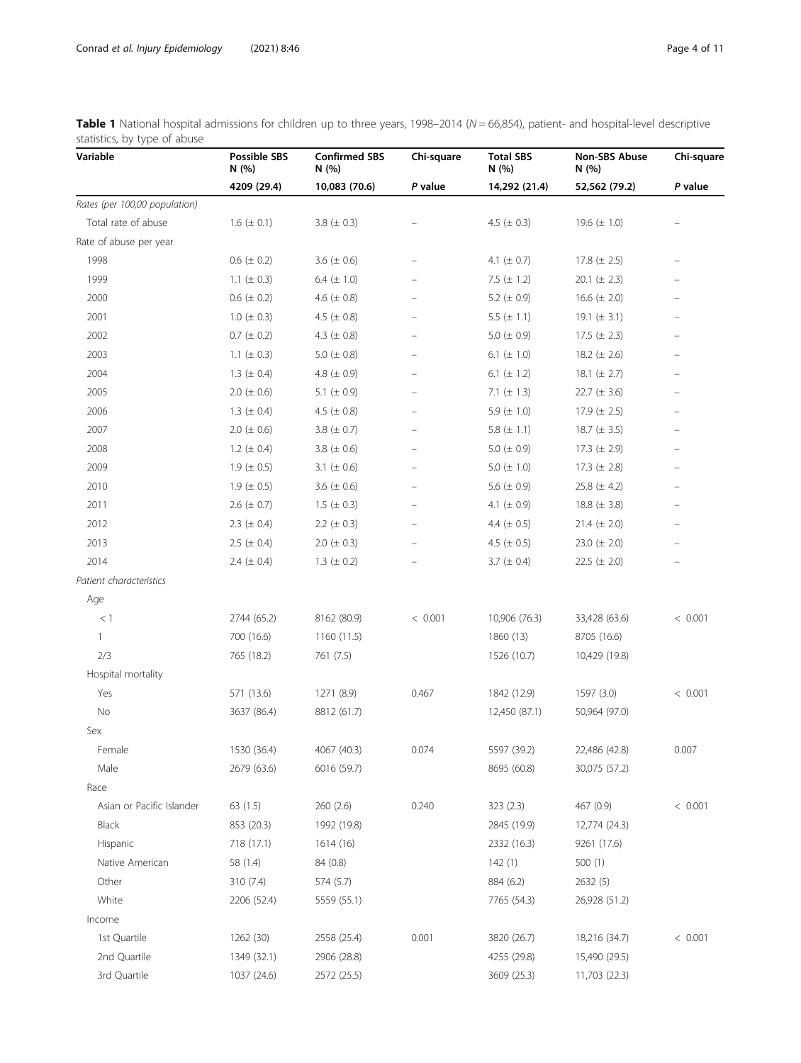<span id="page-3-0"></span>

| Table 1 National hospital admissions for children up to three years, 1998-2014 (N = 66,854), patient- and hospital-level descriptive |  |  |  |  |
|--------------------------------------------------------------------------------------------------------------------------------------|--|--|--|--|
| statistics, by type of abuse                                                                                                         |  |  |  |  |

| Variable                      | Possible SBS<br>N (%) | <b>Confirmed SBS</b><br>N(%) | Chi-square               | <b>Total SBS</b><br>N (%) | Non-SBS Abuse<br>N (%) | Chi-square               |
|-------------------------------|-----------------------|------------------------------|--------------------------|---------------------------|------------------------|--------------------------|
|                               | 4209 (29.4)           | 10,083 (70.6)                | P value                  | 14,292 (21.4)             | 52,562 (79.2)          | P value                  |
| Rates (per 100,00 population) |                       |                              |                          |                           |                        |                          |
| Total rate of abuse           | 1.6 $(\pm 0.1)$       | 3.8 ( $\pm$ 0.3)             |                          | 4.5 ( $\pm$ 0.3)          | 19.6 $(\pm 1.0)$       |                          |
| Rate of abuse per year        |                       |                              |                          |                           |                        |                          |
| 1998                          | $0.6 (\pm 0.2)$       | 3.6 $(\pm 0.6)$              |                          | 4.1 ( $\pm$ 0.7)          | 17.8 $(\pm 2.5)$       |                          |
| 1999                          | 1.1 ( $\pm$ 0.3)      | 6.4 $(\pm 1.0)$              | $\qquad \qquad -$        | 7.5 $(\pm 1.2)$           | 20.1 ( $\pm$ 2.3)      |                          |
| 2000                          | $0.6 (\pm 0.2)$       | 4.6 ( $\pm$ 0.8)             | $\overline{\phantom{0}}$ | 5.2 ( $\pm$ 0.9)          | 16.6 $(\pm 2.0)$       |                          |
| 2001                          | $1.0 \ (\pm 0.3)$     | 4.5 ( $\pm$ 0.8)             |                          | 5.5 $(\pm 1.1)$           | 19.1 $(\pm 3.1)$       |                          |
| 2002                          | $0.7 (\pm 0.2)$       | 4.3 ( $\pm$ 0.8)             | $\overline{\phantom{0}}$ | 5.0 ( $\pm$ 0.9)          | 17.5 $(\pm 2.3)$       | -                        |
| 2003                          | 1.1 ( $\pm$ 0.3)      | 5.0 ( $\pm$ 0.8)             |                          | 6.1 ( $\pm$ 1.0)          | 18.2 $(\pm 2.6)$       |                          |
| 2004                          | 1.3 ( $\pm$ 0.4)      | 4.8 ( $\pm$ 0.9)             | $\overline{\phantom{0}}$ | 6.1 ( $\pm$ 1.2)          | 18.1 $(\pm 2.7)$       |                          |
| 2005                          | $2.0 \ (\pm 0.6)$     | 5.1 ( $\pm$ 0.9)             | -                        | 7.1 $(\pm 1.3)$           | 22.7 ( $\pm$ 3.6)      | -                        |
| 2006                          | 1.3 ( $\pm$ 0.4)      | 4.5 ( $\pm$ 0.8)             | $\equiv$                 | 5.9 $(\pm 1.0)$           | 17.9 $(\pm 2.5)$       |                          |
| 2007                          | $2.0 (\pm 0.6)$       | 3.8 ( $\pm$ 0.7)             |                          | 5.8 $(\pm 1.1)$           | 18.7 $(\pm 3.5)$       |                          |
| 2008                          | 1.2 ( $\pm$ 0.4)      | 3.8 ( $\pm$ 0.6)             |                          | 5.0 ( $\pm$ 0.9)          | 17.3 $(\pm 2.9)$       | -                        |
| 2009                          | $1.9 (\pm 0.5)$       | 3.1 ( $\pm$ 0.6)             | $\overline{\phantom{0}}$ | 5.0 $(\pm 1.0)$           | 17.3 $(\pm 2.8)$       | $\overline{\phantom{0}}$ |
| 2010                          | 1.9 ( $\pm$ 0.5)      | 3.6 $(\pm 0.6)$              | $\overline{\phantom{0}}$ | 5.6 $(\pm 0.9)$           | 25.8 $(\pm 4.2)$       |                          |
| 2011                          | $2.6 (\pm 0.7)$       | $1.5 (\pm 0.3)$              | $\overline{\phantom{0}}$ | 4.1 ( $\pm$ 0.9)          | 18.8 $(\pm 3.8)$       | -                        |
| 2012                          | 2.3 ( $\pm$ 0.4)      | 2.2 ( $\pm$ 0.3)             | $\overline{\phantom{0}}$ | 4.4 $(\pm 0.5)$           | $21.4 (\pm 2.0)$       | $\overline{\phantom{0}}$ |
| 2013                          | $2.5 (\pm 0.4)$       | $2.0 (\pm 0.3)$              |                          | 4.5 ( $\pm$ 0.5)          | 23.0 ( $\pm$ 2.0)      |                          |
| 2014                          | 2.4 $(\pm 0.4)$       | 1.3 ( $\pm$ 0.2)             |                          | 3.7 ( $\pm$ 0.4)          | $22.5 (\pm 2.0)$       | -                        |
| Patient characteristics       |                       |                              |                          |                           |                        |                          |
| Age                           |                       |                              |                          |                           |                        |                          |
| < 1                           | 2744 (65.2)           | 8162 (80.9)                  | < 0.001                  | 10,906 (76.3)             | 33,428 (63.6)          | < 0.001                  |
| $\mathbf{1}$                  | 700 (16.6)            | 1160 (11.5)                  |                          | 1860 (13)                 | 8705 (16.6)            |                          |
| 2/3                           | 765 (18.2)            | 761 (7.5)                    |                          | 1526 (10.7)               | 10,429 (19.8)          |                          |
| Hospital mortality            |                       |                              |                          |                           |                        |                          |
| Yes                           | 571 (13.6)            | 1271 (8.9)                   | 0.467                    | 1842 (12.9)               | 1597 (3.0)             | < 0.001                  |
| No                            | 3637 (86.4)           | 8812 (61.7)                  |                          | 12,450 (87.1)             | 50,964 (97.0)          |                          |
| Sex                           |                       |                              |                          |                           |                        |                          |
| Female                        | 1530 (36.4)           | 4067 (40.3)                  | 0.074                    | 5597 (39.2)               | 22,486 (42.8)          | 0.007                    |
| Male                          | 2679 (63.6)           | 6016 (59.7)                  |                          | 8695 (60.8)               | 30,075 (57.2)          |                          |
| Race                          |                       |                              |                          |                           |                        |                          |
| Asian or Pacific Islander     | 63(1.5)               | 260(2.6)                     | 0.240                    | 323(2.3)                  | 467 (0.9)              | < 0.001                  |
| <b>Black</b>                  | 853 (20.3)            | 1992 (19.8)                  |                          | 2845 (19.9)               | 12,774 (24.3)          |                          |
| Hispanic                      | 718 (17.1)            | 1614 (16)                    |                          | 2332 (16.3)               | 9261 (17.6)            |                          |
| Native American               | 58 (1.4)              | 84 (0.8)                     |                          | 142(1)                    | 500(1)                 |                          |
| Other                         | 310 (7.4)             | 574 (5.7)                    |                          | 884 (6.2)                 | 2632(5)                |                          |
| White                         | 2206 (52.4)           | 5559 (55.1)                  |                          | 7765 (54.3)               | 26,928 (51.2)          |                          |
| Income                        |                       |                              |                          |                           |                        |                          |
| 1st Quartile                  | 1262 (30)             | 2558 (25.4)                  | 0.001                    | 3820 (26.7)               | 18,216 (34.7)          | < 0.001                  |
| 2nd Quartile                  | 1349 (32.1)           | 2906 (28.8)                  |                          | 4255 (29.8)               | 15,490 (29.5)          |                          |
| 3rd Quartile                  | 1037 (24.6)           | 2572 (25.5)                  |                          | 3609 (25.3)               | 11,703 (22.3)          |                          |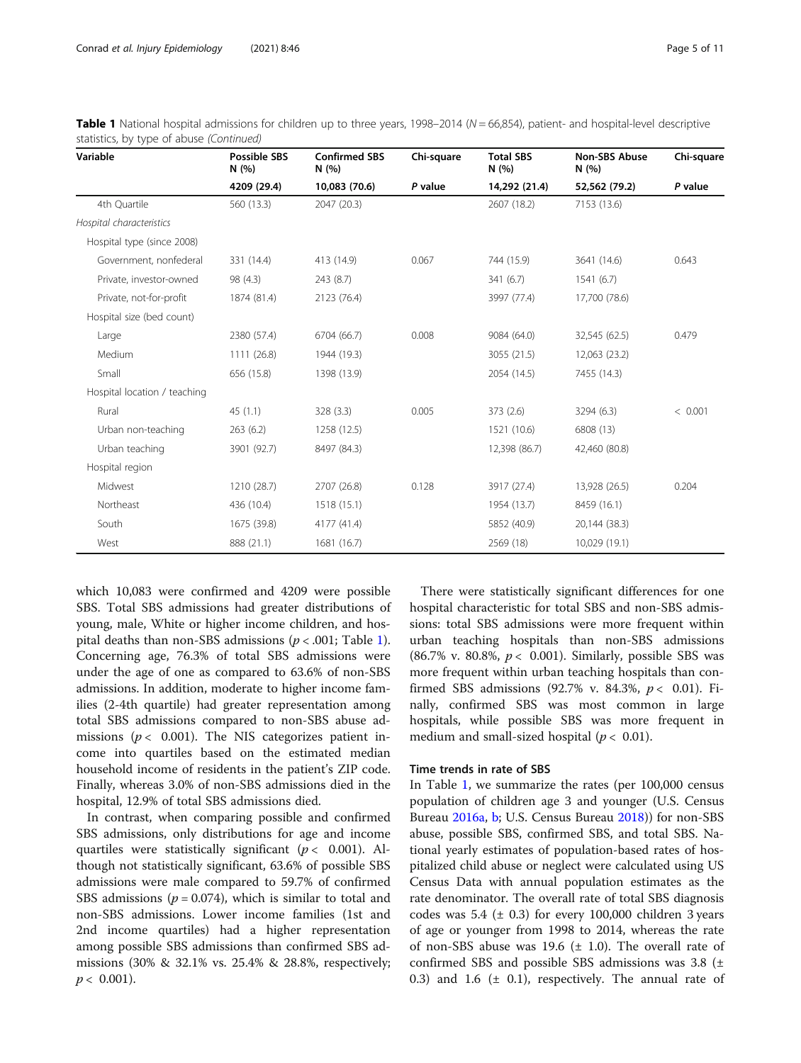| Variable                     | <b>Possible SBS</b><br>N(%) | <b>Confirmed SBS</b><br>N(%) | Chi-square | <b>Total SBS</b><br>N(%) | <b>Non-SBS Abuse</b><br>N(%) | Chi-square |
|------------------------------|-----------------------------|------------------------------|------------|--------------------------|------------------------------|------------|
|                              | 4209 (29.4)                 | 10,083 (70.6)                | P value    | 14,292 (21.4)            | 52,562 (79.2)                | P value    |
| 4th Quartile                 | 560 (13.3)                  | 2047 (20.3)                  |            | 2607 (18.2)              | 7153 (13.6)                  |            |
| Hospital characteristics     |                             |                              |            |                          |                              |            |
| Hospital type (since 2008)   |                             |                              |            |                          |                              |            |
| Government, nonfederal       | 331 (14.4)                  | 413 (14.9)                   | 0.067      | 744 (15.9)               | 3641 (14.6)                  | 0.643      |
| Private, investor-owned      | 98 (4.3)                    | 243 (8.7)                    |            | 341(6.7)                 | 1541(6.7)                    |            |
| Private, not-for-profit      | 1874 (81.4)                 | 2123 (76.4)                  |            | 3997 (77.4)              | 17,700 (78.6)                |            |
| Hospital size (bed count)    |                             |                              |            |                          |                              |            |
| Large                        | 2380 (57.4)                 | 6704 (66.7)                  | 0.008      | 9084 (64.0)              | 32,545 (62.5)                | 0.479      |
| Medium                       | 1111 (26.8)                 | 1944 (19.3)                  |            | 3055 (21.5)              | 12,063 (23.2)                |            |
| Small                        | 656 (15.8)                  | 1398 (13.9)                  |            | 2054 (14.5)              | 7455 (14.3)                  |            |
| Hospital location / teaching |                             |                              |            |                          |                              |            |
| Rural                        | 45(1.1)                     | 328 (3.3)                    | 0.005      | 373(2.6)                 | 3294 (6.3)                   | < 0.001    |
| Urban non-teaching           | 263(6.2)                    | 1258 (12.5)                  |            | 1521 (10.6)              | 6808 (13)                    |            |
| Urban teaching               | 3901 (92.7)                 | 8497 (84.3)                  |            | 12,398 (86.7)            | 42,460 (80.8)                |            |
| Hospital region              |                             |                              |            |                          |                              |            |
| Midwest                      | 1210 (28.7)                 | 2707 (26.8)                  | 0.128      | 3917 (27.4)              | 13,928 (26.5)                | 0.204      |
| Northeast                    | 436 (10.4)                  | 1518 (15.1)                  |            | 1954 (13.7)              | 8459 (16.1)                  |            |
| South                        | 1675 (39.8)                 | 4177 (41.4)                  |            | 5852 (40.9)              | 20,144 (38.3)                |            |
| West                         | 888 (21.1)                  | 1681 (16.7)                  |            | 2569 (18)                | 10,029 (19.1)                |            |

|                                          |  | Table 1 National hospital admissions for children up to three years, 1998-2014 (N = 66,854), patient- and hospital-level descriptive |  |  |
|------------------------------------------|--|--------------------------------------------------------------------------------------------------------------------------------------|--|--|
| statistics, by type of abuse (Continued) |  |                                                                                                                                      |  |  |

which 10,083 were confirmed and 4209 were possible SBS. Total SBS admissions had greater distributions of young, male, White or higher income children, and hospital deaths than non-SBS admissions ( $p < .001$  $p < .001$ ; Table 1). Concerning age, 76.3% of total SBS admissions were under the age of one as compared to 63.6% of non-SBS admissions. In addition, moderate to higher income families (2-4th quartile) had greater representation among total SBS admissions compared to non-SBS abuse admissions ( $p < 0.001$ ). The NIS categorizes patient income into quartiles based on the estimated median household income of residents in the patient's ZIP code. Finally, whereas 3.0% of non-SBS admissions died in the hospital, 12.9% of total SBS admissions died.

In contrast, when comparing possible and confirmed SBS admissions, only distributions for age and income quartiles were statistically significant ( $p < 0.001$ ). Although not statistically significant, 63.6% of possible SBS admissions were male compared to 59.7% of confirmed SBS admissions ( $p = 0.074$ ), which is similar to total and non-SBS admissions. Lower income families (1st and 2nd income quartiles) had a higher representation among possible SBS admissions than confirmed SBS admissions (30% & 32.1% vs. 25.4% & 28.8%, respectively;  $p < 0.001$ ).

There were statistically significant differences for one hospital characteristic for total SBS and non-SBS admissions: total SBS admissions were more frequent within urban teaching hospitals than non-SBS admissions (86.7% v. 80.8%,  $p < 0.001$ ). Similarly, possible SBS was more frequent within urban teaching hospitals than confirmed SBS admissions (92.7% v. 84.3%,  $p < 0.01$ ). Finally, confirmed SBS was most common in large hospitals, while possible SBS was more frequent in medium and small-sized hospital ( $p < 0.01$ ).

#### Time trends in rate of SBS

In Table [1](#page-3-0), we summarize the rates (per 100,000 census population of children age 3 and younger (U.S. Census Bureau [2016a,](#page-10-0) [b;](#page-10-0) U.S. Census Bureau [2018](#page-10-0)) for non-SBS abuse, possible SBS, confirmed SBS, and total SBS. National yearly estimates of population-based rates of hospitalized child abuse or neglect were calculated using US Census Data with annual population estimates as the rate denominator. The overall rate of total SBS diagnosis codes was  $5.4$  ( $\pm$  0.3) for every 100,000 children 3 years of age or younger from 1998 to 2014, whereas the rate of non-SBS abuse was 19.6  $(\pm 1.0)$ . The overall rate of confirmed SBS and possible SBS admissions was 3.8 (± 0.3) and 1.6  $(\pm 0.1)$ , respectively. The annual rate of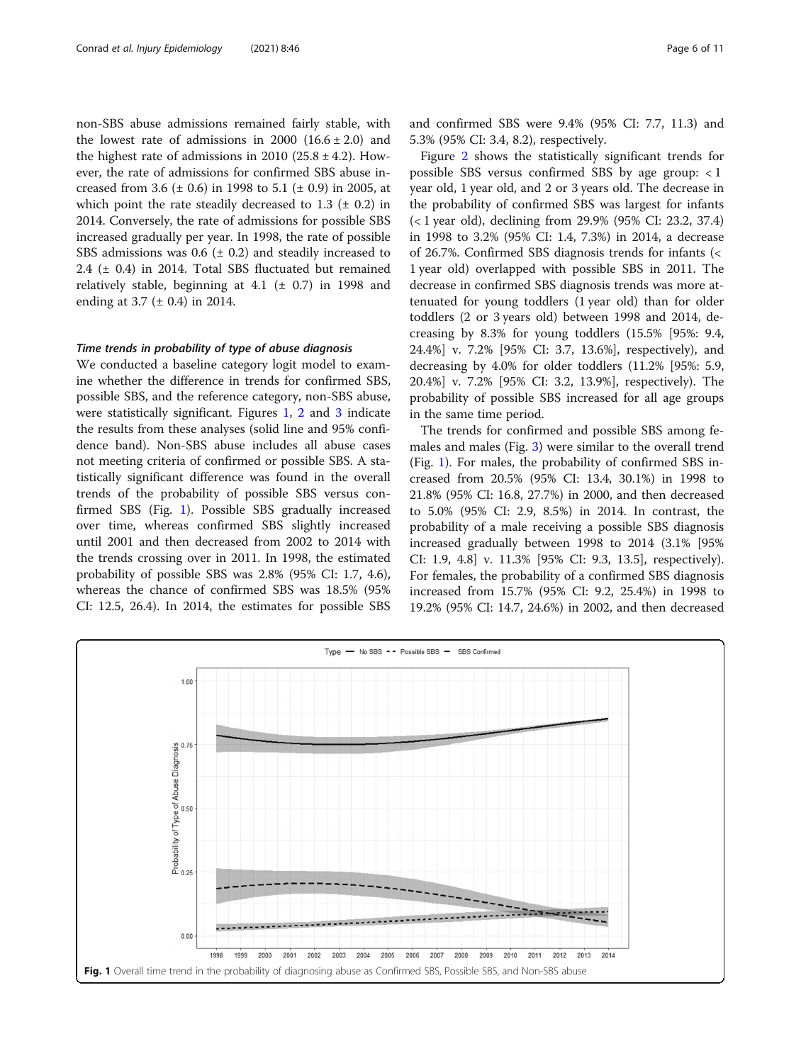non-SBS abuse admissions remained fairly stable, with the lowest rate of admissions in  $2000$   $(16.6 \pm 2.0)$  and the highest rate of admissions in 2010 (25.8  $\pm$  4.2). However, the rate of admissions for confirmed SBS abuse increased from 3.6 ( $\pm$  0.6) in 1998 to 5.1 ( $\pm$  0.9) in 2005, at which point the rate steadily decreased to  $1.3$  ( $\pm$  0.2) in 2014. Conversely, the rate of admissions for possible SBS increased gradually per year. In 1998, the rate of possible SBS admissions was  $0.6$  ( $\pm$  0.2) and steadily increased to 2.4 (± 0.4) in 2014. Total SBS fluctuated but remained relatively stable, beginning at  $4.1$  ( $\pm$  0.7) in 1998 and ending at 3.7 (± 0.4) in 2014.

#### Time trends in probability of type of abuse diagnosis

We conducted a baseline category logit model to examine whether the difference in trends for confirmed SBS, possible SBS, and the reference category, non-SBS abuse, were statistically significant. Figures 1, [2](#page-6-0) and [3](#page-6-0) indicate the results from these analyses (solid line and 95% confidence band). Non-SBS abuse includes all abuse cases not meeting criteria of confirmed or possible SBS. A statistically significant difference was found in the overall trends of the probability of possible SBS versus confirmed SBS (Fig. 1). Possible SBS gradually increased over time, whereas confirmed SBS slightly increased until 2001 and then decreased from 2002 to 2014 with the trends crossing over in 2011. In 1998, the estimated probability of possible SBS was 2.8% (95% CI: 1.7, 4.6), whereas the chance of confirmed SBS was 18.5% (95% CI: 12.5, 26.4). In 2014, the estimates for possible SBS and confirmed SBS were 9.4% (95% CI: 7.7, 11.3) and 5.3% (95% CI: 3.4, 8.2), respectively.

Figure [2](#page-6-0) shows the statistically significant trends for possible SBS versus confirmed SBS by age group: < 1 year old, 1 year old, and 2 or 3 years old. The decrease in the probability of confirmed SBS was largest for infants (< 1 year old), declining from 29.9% (95% CI: 23.2, 37.4) in 1998 to 3.2% (95% CI: 1.4, 7.3%) in 2014, a decrease of 26.7%. Confirmed SBS diagnosis trends for infants (< 1 year old) overlapped with possible SBS in 2011. The decrease in confirmed SBS diagnosis trends was more attenuated for young toddlers (1 year old) than for older toddlers (2 or 3 years old) between 1998 and 2014, decreasing by 8.3% for young toddlers (15.5% [95%: 9.4, 24.4%] v. 7.2% [95% CI: 3.7, 13.6%], respectively), and decreasing by 4.0% for older toddlers (11.2% [95%: 5.9, 20.4%] v. 7.2% [95% CI: 3.2, 13.9%], respectively). The probability of possible SBS increased for all age groups in the same time period.

The trends for confirmed and possible SBS among females and males (Fig. [3\)](#page-6-0) were similar to the overall trend (Fig. 1). For males, the probability of confirmed SBS increased from 20.5% (95% CI: 13.4, 30.1%) in 1998 to 21.8% (95% CI: 16.8, 27.7%) in 2000, and then decreased to 5.0% (95% CI: 2.9, 8.5%) in 2014. In contrast, the probability of a male receiving a possible SBS diagnosis increased gradually between 1998 to 2014 (3.1% [95% CI: 1.9, 4.8] v. 11.3% [95% CI: 9.3, 13.5], respectively). For females, the probability of a confirmed SBS diagnosis increased from 15.7% (95% CI: 9.2, 25.4%) in 1998 to 19.2% (95% CI: 14.7, 24.6%) in 2002, and then decreased

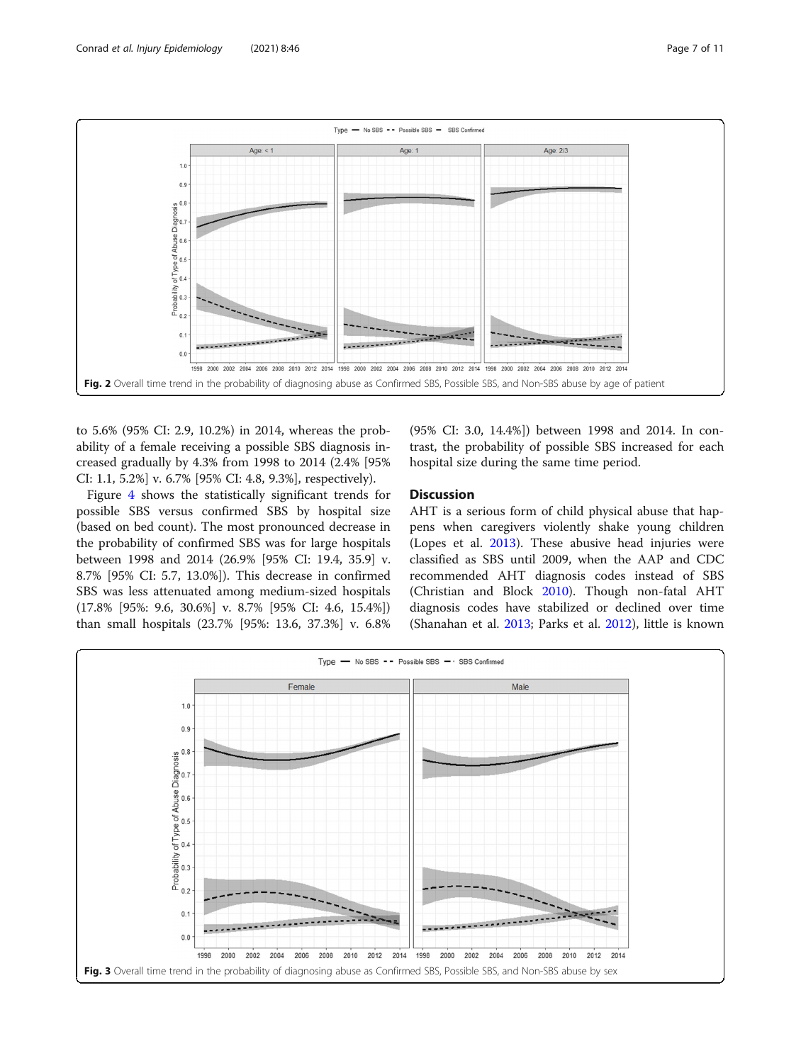<span id="page-6-0"></span>

to 5.6% (95% CI: 2.9, 10.2%) in 2014, whereas the probability of a female receiving a possible SBS diagnosis increased gradually by 4.3% from 1998 to 2014 (2.4% [95% CI: 1.1, 5.2%] v. 6.7% [95% CI: 4.8, 9.3%], respectively).

Figure [4](#page-7-0) shows the statistically significant trends for possible SBS versus confirmed SBS by hospital size (based on bed count). The most pronounced decrease in the probability of confirmed SBS was for large hospitals between 1998 and 2014 (26.9% [95% CI: 19.4, 35.9] v. 8.7% [95% CI: 5.7, 13.0%]). This decrease in confirmed SBS was less attenuated among medium-sized hospitals (17.8% [95%: 9.6, 30.6%] v. 8.7% [95% CI: 4.6, 15.4%]) than small hospitals (23.7% [95%: 13.6, 37.3%] v. 6.8%

(95% CI: 3.0, 14.4%]) between 1998 and 2014. In contrast, the probability of possible SBS increased for each hospital size during the same time period.

#### **Discussion**

AHT is a serious form of child physical abuse that happens when caregivers violently shake young children (Lopes et al. [2013\)](#page-10-0). These abusive head injuries were classified as SBS until 2009, when the AAP and CDC recommended AHT diagnosis codes instead of SBS (Christian and Block [2010\)](#page-10-0). Though non-fatal AHT diagnosis codes have stabilized or declined over time (Shanahan et al. [2013;](#page-10-0) Parks et al. [2012\)](#page-10-0), little is known

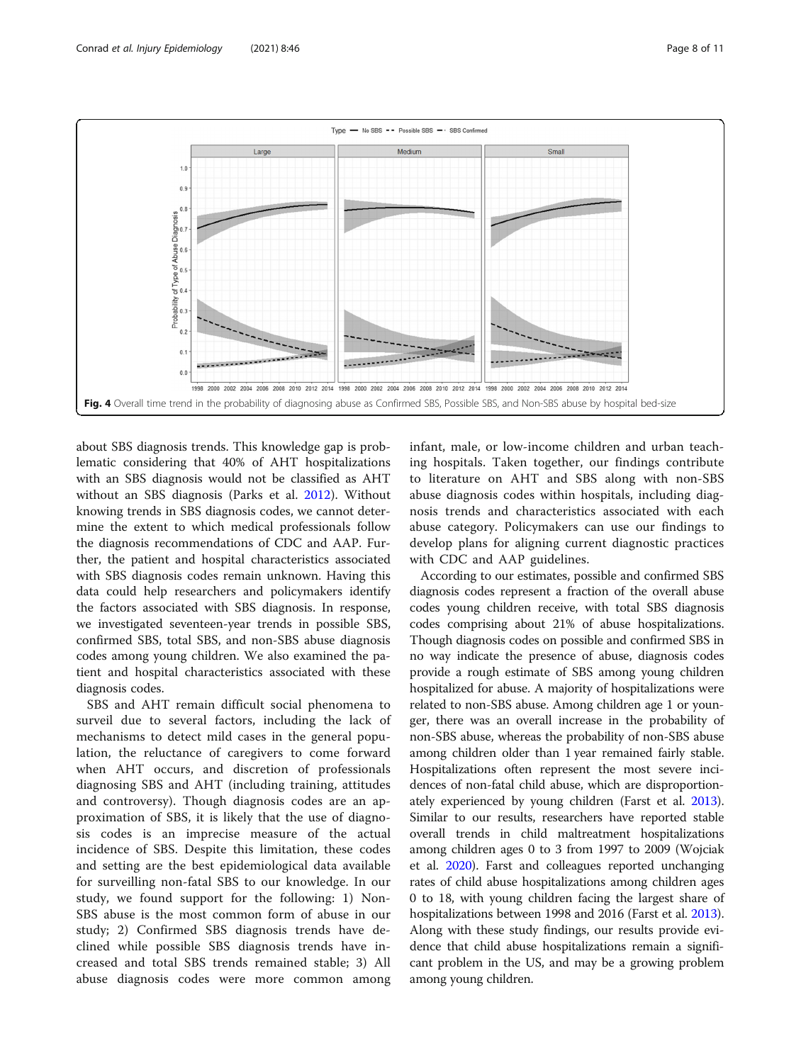<span id="page-7-0"></span>

about SBS diagnosis trends. This knowledge gap is problematic considering that 40% of AHT hospitalizations with an SBS diagnosis would not be classified as AHT without an SBS diagnosis (Parks et al. [2012\)](#page-10-0). Without knowing trends in SBS diagnosis codes, we cannot determine the extent to which medical professionals follow the diagnosis recommendations of CDC and AAP. Further, the patient and hospital characteristics associated with SBS diagnosis codes remain unknown. Having this data could help researchers and policymakers identify the factors associated with SBS diagnosis. In response, we investigated seventeen-year trends in possible SBS, confirmed SBS, total SBS, and non-SBS abuse diagnosis codes among young children. We also examined the patient and hospital characteristics associated with these diagnosis codes.

SBS and AHT remain difficult social phenomena to surveil due to several factors, including the lack of mechanisms to detect mild cases in the general population, the reluctance of caregivers to come forward when AHT occurs, and discretion of professionals diagnosing SBS and AHT (including training, attitudes and controversy). Though diagnosis codes are an approximation of SBS, it is likely that the use of diagnosis codes is an imprecise measure of the actual incidence of SBS. Despite this limitation, these codes and setting are the best epidemiological data available for surveilling non-fatal SBS to our knowledge. In our study, we found support for the following: 1) Non-SBS abuse is the most common form of abuse in our study; 2) Confirmed SBS diagnosis trends have declined while possible SBS diagnosis trends have increased and total SBS trends remained stable; 3) All abuse diagnosis codes were more common among

infant, male, or low-income children and urban teaching hospitals. Taken together, our findings contribute to literature on AHT and SBS along with non-SBS abuse diagnosis codes within hospitals, including diagnosis trends and characteristics associated with each abuse category. Policymakers can use our findings to develop plans for aligning current diagnostic practices with CDC and AAP guidelines.

According to our estimates, possible and confirmed SBS diagnosis codes represent a fraction of the overall abuse codes young children receive, with total SBS diagnosis codes comprising about 21% of abuse hospitalizations. Though diagnosis codes on possible and confirmed SBS in no way indicate the presence of abuse, diagnosis codes provide a rough estimate of SBS among young children hospitalized for abuse. A majority of hospitalizations were related to non-SBS abuse. Among children age 1 or younger, there was an overall increase in the probability of non-SBS abuse, whereas the probability of non-SBS abuse among children older than 1 year remained fairly stable. Hospitalizations often represent the most severe incidences of non-fatal child abuse, which are disproportionately experienced by young children (Farst et al. [2013](#page-10-0)). Similar to our results, researchers have reported stable overall trends in child maltreatment hospitalizations among children ages 0 to 3 from 1997 to 2009 (Wojciak et al. [2020\)](#page-10-0). Farst and colleagues reported unchanging rates of child abuse hospitalizations among children ages 0 to 18, with young children facing the largest share of hospitalizations between 1998 and 2016 (Farst et al. [2013](#page-10-0)). Along with these study findings, our results provide evidence that child abuse hospitalizations remain a significant problem in the US, and may be a growing problem among young children.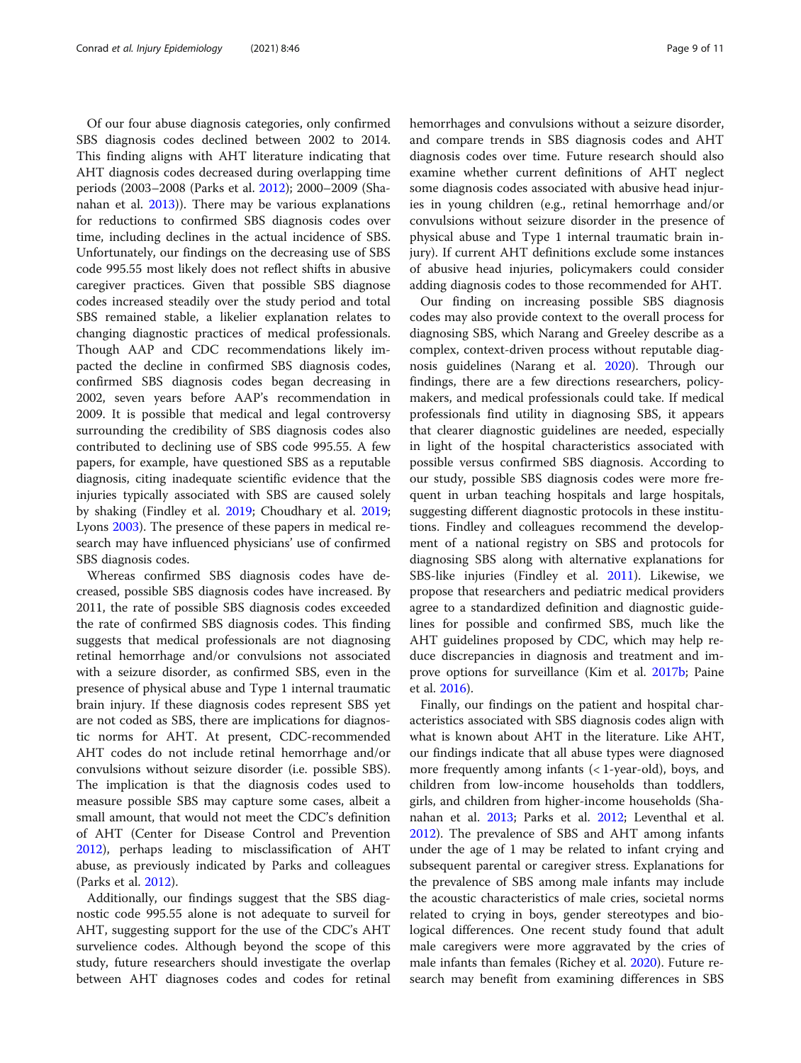Of our four abuse diagnosis categories, only confirmed SBS diagnosis codes declined between 2002 to 2014. This finding aligns with AHT literature indicating that AHT diagnosis codes decreased during overlapping time periods (2003–2008 (Parks et al. [2012](#page-10-0)); 2000–2009 (Shanahan et al. [2013](#page-10-0))). There may be various explanations for reductions to confirmed SBS diagnosis codes over time, including declines in the actual incidence of SBS. Unfortunately, our findings on the decreasing use of SBS code 995.55 most likely does not reflect shifts in abusive caregiver practices. Given that possible SBS diagnose codes increased steadily over the study period and total SBS remained stable, a likelier explanation relates to changing diagnostic practices of medical professionals. Though AAP and CDC recommendations likely impacted the decline in confirmed SBS diagnosis codes, confirmed SBS diagnosis codes began decreasing in 2002, seven years before AAP's recommendation in 2009. It is possible that medical and legal controversy surrounding the credibility of SBS diagnosis codes also contributed to declining use of SBS code 995.55. A few papers, for example, have questioned SBS as a reputable diagnosis, citing inadequate scientific evidence that the injuries typically associated with SBS are caused solely by shaking (Findley et al. [2019;](#page-10-0) Choudhary et al. [2019](#page-10-0); Lyons [2003](#page-10-0)). The presence of these papers in medical research may have influenced physicians' use of confirmed SBS diagnosis codes.

Whereas confirmed SBS diagnosis codes have decreased, possible SBS diagnosis codes have increased. By 2011, the rate of possible SBS diagnosis codes exceeded the rate of confirmed SBS diagnosis codes. This finding suggests that medical professionals are not diagnosing retinal hemorrhage and/or convulsions not associated with a seizure disorder, as confirmed SBS, even in the presence of physical abuse and Type 1 internal traumatic brain injury. If these diagnosis codes represent SBS yet are not coded as SBS, there are implications for diagnostic norms for AHT. At present, CDC-recommended AHT codes do not include retinal hemorrhage and/or convulsions without seizure disorder (i.e. possible SBS). The implication is that the diagnosis codes used to measure possible SBS may capture some cases, albeit a small amount, that would not meet the CDC's definition of AHT (Center for Disease Control and Prevention [2012](#page-10-0)), perhaps leading to misclassification of AHT abuse, as previously indicated by Parks and colleagues (Parks et al. [2012](#page-10-0)).

Additionally, our findings suggest that the SBS diagnostic code 995.55 alone is not adequate to surveil for AHT, suggesting support for the use of the CDC's AHT survelience codes. Although beyond the scope of this study, future researchers should investigate the overlap between AHT diagnoses codes and codes for retinal hemorrhages and convulsions without a seizure disorder, and compare trends in SBS diagnosis codes and AHT diagnosis codes over time. Future research should also examine whether current definitions of AHT neglect some diagnosis codes associated with abusive head injuries in young children (e.g., retinal hemorrhage and/or convulsions without seizure disorder in the presence of physical abuse and Type 1 internal traumatic brain injury). If current AHT definitions exclude some instances of abusive head injuries, policymakers could consider adding diagnosis codes to those recommended for AHT.

Our finding on increasing possible SBS diagnosis codes may also provide context to the overall process for diagnosing SBS, which Narang and Greeley describe as a complex, context-driven process without reputable diagnosis guidelines (Narang et al. [2020\)](#page-10-0). Through our findings, there are a few directions researchers, policymakers, and medical professionals could take. If medical professionals find utility in diagnosing SBS, it appears that clearer diagnostic guidelines are needed, especially in light of the hospital characteristics associated with possible versus confirmed SBS diagnosis. According to our study, possible SBS diagnosis codes were more frequent in urban teaching hospitals and large hospitals, suggesting different diagnostic protocols in these institutions. Findley and colleagues recommend the development of a national registry on SBS and protocols for diagnosing SBS along with alternative explanations for SBS-like injuries (Findley et al. [2011](#page-10-0)). Likewise, we propose that researchers and pediatric medical providers agree to a standardized definition and diagnostic guidelines for possible and confirmed SBS, much like the AHT guidelines proposed by CDC, which may help reduce discrepancies in diagnosis and treatment and improve options for surveillance (Kim et al. [2017b;](#page-10-0) Paine et al. [2016\)](#page-10-0).

Finally, our findings on the patient and hospital characteristics associated with SBS diagnosis codes align with what is known about AHT in the literature. Like AHT, our findings indicate that all abuse types were diagnosed more frequently among infants (< 1-year-old), boys, and children from low-income households than toddlers, girls, and children from higher-income households (Shanahan et al. [2013;](#page-10-0) Parks et al. [2012](#page-10-0); Leventhal et al. [2012](#page-10-0)). The prevalence of SBS and AHT among infants under the age of 1 may be related to infant crying and subsequent parental or caregiver stress. Explanations for the prevalence of SBS among male infants may include the acoustic characteristics of male cries, societal norms related to crying in boys, gender stereotypes and biological differences. One recent study found that adult male caregivers were more aggravated by the cries of male infants than females (Richey et al. [2020\)](#page-10-0). Future research may benefit from examining differences in SBS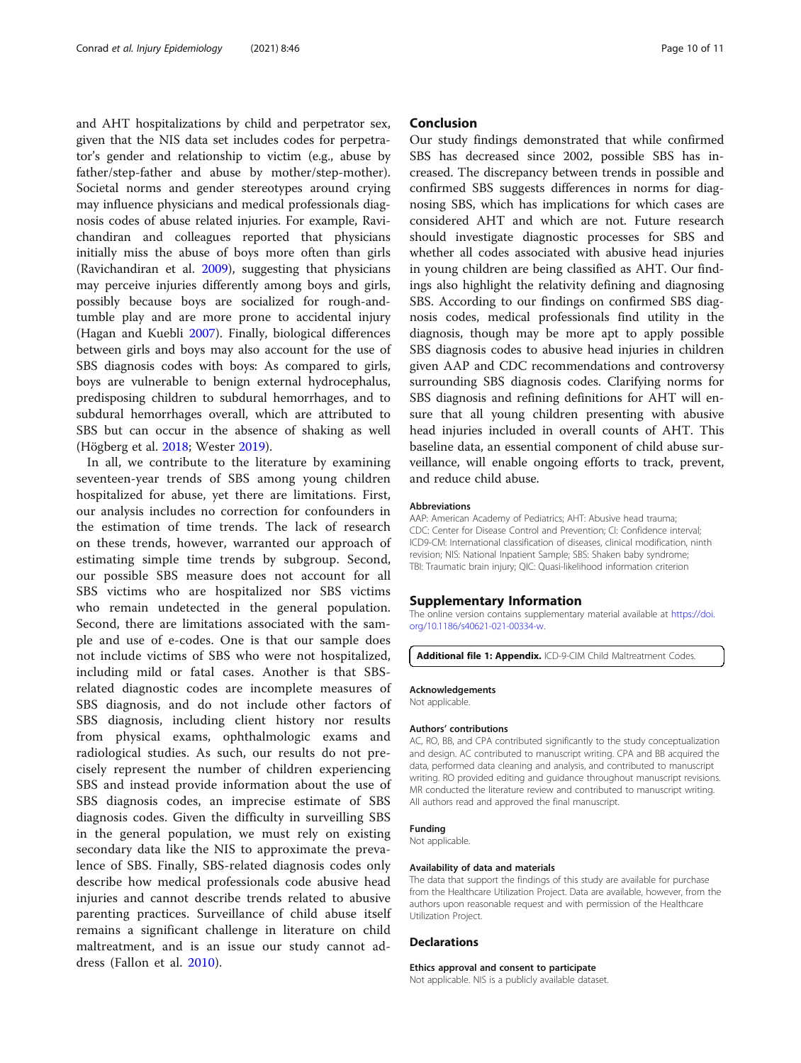<span id="page-9-0"></span>and AHT hospitalizations by child and perpetrator sex, given that the NIS data set includes codes for perpetrator's gender and relationship to victim (e.g., abuse by father/step-father and abuse by mother/step-mother). Societal norms and gender stereotypes around crying may influence physicians and medical professionals diagnosis codes of abuse related injuries. For example, Ravichandiran and colleagues reported that physicians initially miss the abuse of boys more often than girls (Ravichandiran et al. [2009\)](#page-10-0), suggesting that physicians may perceive injuries differently among boys and girls, possibly because boys are socialized for rough-andtumble play and are more prone to accidental injury (Hagan and Kuebli [2007](#page-10-0)). Finally, biological differences between girls and boys may also account for the use of SBS diagnosis codes with boys: As compared to girls, boys are vulnerable to benign external hydrocephalus, predisposing children to subdural hemorrhages, and to subdural hemorrhages overall, which are attributed to SBS but can occur in the absence of shaking as well (Högberg et al. [2018](#page-10-0); Wester [2019](#page-10-0)).

In all, we contribute to the literature by examining seventeen-year trends of SBS among young children hospitalized for abuse, yet there are limitations. First, our analysis includes no correction for confounders in the estimation of time trends. The lack of research on these trends, however, warranted our approach of estimating simple time trends by subgroup. Second, our possible SBS measure does not account for all SBS victims who are hospitalized nor SBS victims who remain undetected in the general population. Second, there are limitations associated with the sample and use of e-codes. One is that our sample does not include victims of SBS who were not hospitalized, including mild or fatal cases. Another is that SBSrelated diagnostic codes are incomplete measures of SBS diagnosis, and do not include other factors of SBS diagnosis, including client history nor results from physical exams, ophthalmologic exams and radiological studies. As such, our results do not precisely represent the number of children experiencing SBS and instead provide information about the use of SBS diagnosis codes, an imprecise estimate of SBS diagnosis codes. Given the difficulty in surveilling SBS in the general population, we must rely on existing secondary data like the NIS to approximate the prevalence of SBS. Finally, SBS-related diagnosis codes only describe how medical professionals code abusive head injuries and cannot describe trends related to abusive parenting practices. Surveillance of child abuse itself remains a significant challenge in literature on child maltreatment, and is an issue our study cannot address (Fallon et al. [2010\)](#page-10-0).

#### Conclusion

Our study findings demonstrated that while confirmed SBS has decreased since 2002, possible SBS has increased. The discrepancy between trends in possible and confirmed SBS suggests differences in norms for diagnosing SBS, which has implications for which cases are considered AHT and which are not. Future research should investigate diagnostic processes for SBS and whether all codes associated with abusive head injuries in young children are being classified as AHT. Our findings also highlight the relativity defining and diagnosing SBS. According to our findings on confirmed SBS diagnosis codes, medical professionals find utility in the diagnosis, though may be more apt to apply possible SBS diagnosis codes to abusive head injuries in children given AAP and CDC recommendations and controversy surrounding SBS diagnosis codes. Clarifying norms for SBS diagnosis and refining definitions for AHT will ensure that all young children presenting with abusive head injuries included in overall counts of AHT. This baseline data, an essential component of child abuse surveillance, will enable ongoing efforts to track, prevent, and reduce child abuse.

#### Abbreviations

AAP: American Academy of Pediatrics; AHT: Abusive head trauma; CDC: Center for Disease Control and Prevention; CI: Confidence interval; ICD9-CM: International classification of diseases, clinical modification, ninth revision; NIS: National Inpatient Sample; SBS: Shaken baby syndrome; TBI: Traumatic brain injury; QIC: Quasi-likelihood information criterion

#### Supplementary Information

The online version contains supplementary material available at [https://doi.](https://doi.org/10.1186/s40621-021-00334-w) [org/10.1186/s40621-021-00334-w](https://doi.org/10.1186/s40621-021-00334-w).

Additional file 1: Appendix. ICD-9-CIM Child Maltreatment Codes.

#### Acknowledgements

Not applicable.

#### Authors' contributions

AC, RO, BB, and CPA contributed significantly to the study conceptualization and design. AC contributed to manuscript writing. CPA and BB acquired the data, performed data cleaning and analysis, and contributed to manuscript writing. RO provided editing and guidance throughout manuscript revisions. MR conducted the literature review and contributed to manuscript writing. All authors read and approved the final manuscript.

#### Funding

Not applicable.

#### Availability of data and materials

The data that support the findings of this study are available for purchase from the Healthcare Utilization Project. Data are available, however, from the authors upon reasonable request and with permission of the Healthcare Utilization Project.

#### **Declarations**

#### Ethics approval and consent to participate

Not applicable. NIS is a publicly available dataset.